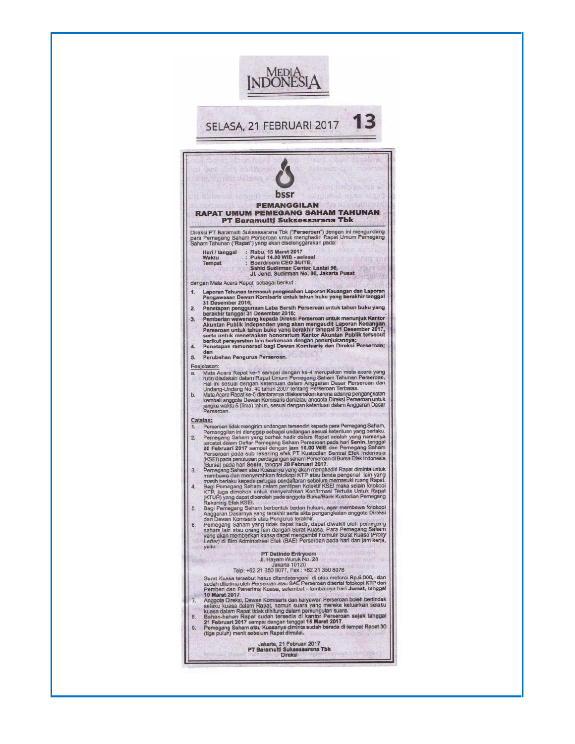